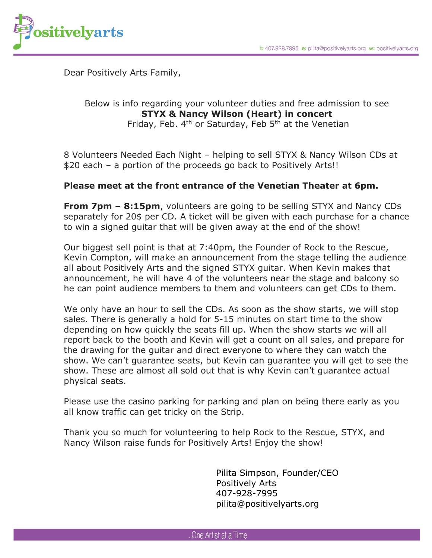

Dear Positively Arts Family,

## Below is info regarding your volunteer duties and free admission to see **STYX & Nancy Wilson (Heart) in concert**

Friday, Feb.  $4<sup>th</sup>$  or Saturday, Feb  $5<sup>th</sup>$  at the Venetian

8 Volunteers Needed Each Night – helping to sell STYX & Nancy Wilson CDs at \$20 each – a portion of the proceeds go back to Positively Arts!!

## **Please meet at the front entrance of the Venetian Theater at 6pm.**

**From 7pm – 8:15pm**, volunteers are going to be selling STYX and Nancy CDs separately for 20\$ per CD. A ticket will be given with each purchase for a chance to win a signed guitar that will be given away at the end of the show!

Our biggest sell point is that at 7:40pm, the Founder of Rock to the Rescue, Kevin Compton, will make an announcement from the stage telling the audience all about Positively Arts and the signed STYX guitar. When Kevin makes that announcement, he will have 4 of the volunteers near the stage and balcony so he can point audience members to them and volunteers can get CDs to them.

We only have an hour to sell the CDs. As soon as the show starts, we will stop sales. There is generally a hold for 5-15 minutes on start time to the show depending on how quickly the seats fill up. When the show starts we will all report back to the booth and Kevin will get a count on all sales, and prepare for the drawing for the guitar and direct everyone to where they can watch the show. We can't guarantee seats, but Kevin can guarantee you will get to see the show. These are almost all sold out that is why Kevin can't guarantee actual physical seats.

Please use the casino parking for parking and plan on being there early as you all know traffic can get tricky on the Strip.

Thank you so much for volunteering to help Rock to the Rescue, STYX, and Nancy Wilson raise funds for Positively Arts! Enjoy the show!

> Pilita Simpson, Founder/CEO Positively Arts 407-928-7995 pilita@positivelyarts.org